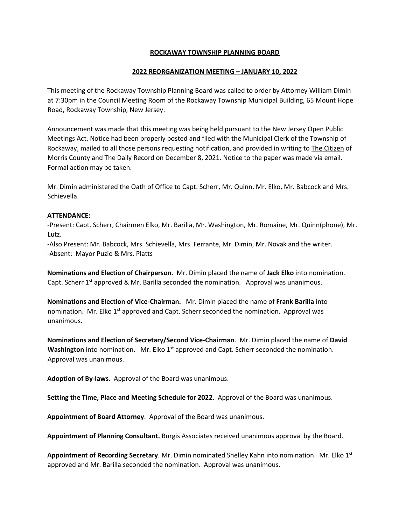### **ROCKAWAY TOWNSHIP PLANNING BOARD**

### **2022 REORGANIZATION MEETING – JANUARY 10, 2022**

This meeting of the Rockaway Township Planning Board was called to order by Attorney William Dimin at 7:30pm in the Council Meeting Room of the Rockaway Township Municipal Building, 65 Mount Hope Road, Rockaway Township, New Jersey.

Announcement was made that this meeting was being held pursuant to the New Jersey Open Public Meetings Act. Notice had been properly posted and filed with the Municipal Clerk of the Township of Rockaway, mailed to all those persons requesting notification, and provided in writing to The Citizen of Morris County and The Daily Record on December 8, 2021. Notice to the paper was made via email. Formal action may be taken.

Mr. Dimin administered the Oath of Office to Capt. Scherr, Mr. Quinn, Mr. Elko, Mr. Babcock and Mrs. Schievella.

#### **ATTENDANCE:**

-Present: Capt. Scherr, Chairmen Elko, Mr. Barilla, Mr. Washington, Mr. Romaine, Mr. Quinn(phone), Mr. Lutz.

-Also Present: Mr. Babcock, Mrs. Schievella, Mrs. Ferrante, Mr. Dimin, Mr. Novak and the writer. -Absent: Mayor Puzio & Mrs. Platts

**Nominations and Election of Chairperson**. Mr. Dimin placed the name of **Jack Elko** into nomination. Capt. Scherr 1<sup>st</sup> approved & Mr. Barilla seconded the nomination. Approval was unanimous.

**Nominations and Election of Vice-Chairman.** Mr. Dimin placed the name of **Frank Barilla** into nomination. Mr. Elko  $1<sup>st</sup>$  approved and Capt. Scherr seconded the nomination. Approval was unanimous.

**Nominations and Election of Secretary/Second Vice-Chairman**. Mr. Dimin placed the name of **David Washington** into nomination. Mr. Elko 1<sup>st</sup> approved and Capt. Scherr seconded the nomination. Approval was unanimous.

**Adoption of By-laws**. Approval of the Board was unanimous.

**Setting the Time, Place and Meeting Schedule for 2022**. Approval of the Board was unanimous.

**Appointment of Board Attorney**. Approval of the Board was unanimous.

**Appointment of Planning Consultant.** Burgis Associates received unanimous approval by the Board.

**Appointment of Recording Secretary**. Mr. Dimin nominated Shelley Kahn into nomination. Mr. Elko 1st approved and Mr. Barilla seconded the nomination. Approval was unanimous.